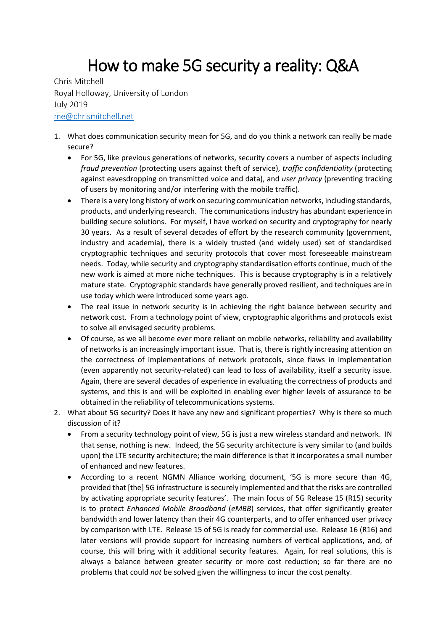## How to make 5G security a reality: Q&A

Chris Mitchell Royal Holloway, University of London July 2019 [me@chrismitchell.net](mailto:me@chrismitchell.net)

- 1. What does communication security mean for 5G, and do you think a network can really be made secure?
	- For 5G, like previous generations of networks, security covers a number of aspects including *fraud prevention* (protecting users against theft of service), *traffic confidentiality* (protecting against eavesdropping on transmitted voice and data), and *user privacy* (preventing tracking of users by monitoring and/or interfering with the mobile traffic).
	- There is a very long history of work on securing communication networks, including standards, products, and underlying research. The communications industry has abundant experience in building secure solutions. For myself, I have worked on security and cryptography for nearly 30 years. As a result of several decades of effort by the research community (government, industry and academia), there is a widely trusted (and widely used) set of standardised cryptographic techniques and security protocols that cover most foreseeable mainstream needs. Today, while security and cryptography standardisation efforts continue, much of the new work is aimed at more niche techniques. This is because cryptography is in a relatively mature state. Cryptographic standards have generally proved resilient, and techniques are in use today which were introduced some years ago.
	- The real issue in network security is in achieving the right balance between security and network cost. From a technology point of view, cryptographic algorithms and protocols exist to solve all envisaged security problems.
	- Of course, as we all become ever more reliant on mobile networks, reliability and availability of networks is an increasingly important issue. That is, there is rightly increasing attention on the correctness of implementations of network protocols, since flaws in implementation (even apparently not security-related) can lead to loss of availability, itself a security issue. Again, there are several decades of experience in evaluating the correctness of products and systems, and this is and will be exploited in enabling ever higher levels of assurance to be obtained in the reliability of telecommunications systems.
- 2. What about 5G security? Does it have any new and significant properties? Why is there so much discussion of it?
	- From a security technology point of view, 5G is just a new wireless standard and network. IN that sense, nothing is new. Indeed, the 5G security architecture is very similar to (and builds upon) the LTE security architecture; the main difference is that it incorporates a small number of enhanced and new features.
	- According to a recent NGMN Alliance working document, '5G is more secure than 4G, provided that [the] 5G infrastructure is securely implemented and that the risks are controlled by activating appropriate security features'. The main focus of 5G Release 15 (R15) security is to protect *Enhanced Mobile Broadband* (*eMBB*) services, that offer significantly greater bandwidth and lower latency than their 4G counterparts, and to offer enhanced user privacy by comparison with LTE. Release 15 of 5G is ready for commercial use. Release 16 (R16) and later versions will provide support for increasing numbers of vertical applications, and, of course, this will bring with it additional security features. Again, for real solutions, this is always a balance between greater security or more cost reduction; so far there are no problems that could *not* be solved given the willingness to incur the cost penalty.